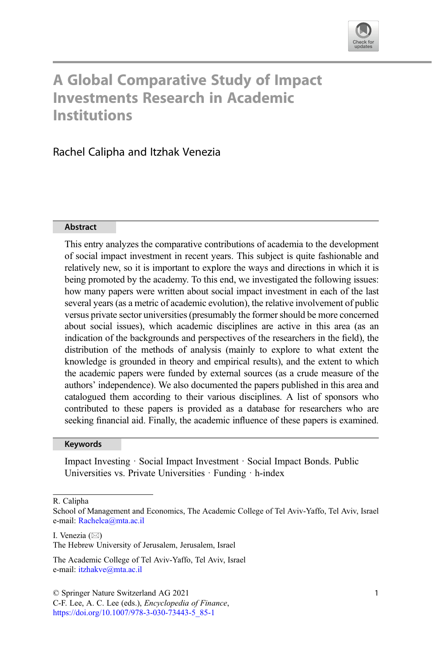

# A Global Comparative Study of Impact Investments Research in Academic **Institutions**

# Rachel Calipha and Itzhak Venezia

#### Abstract

This entry analyzes the comparative contributions of academia to the development of social impact investment in recent years. This subject is quite fashionable and relatively new, so it is important to explore the ways and directions in which it is being promoted by the academy. To this end, we investigated the following issues: how many papers were written about social impact investment in each of the last several years (as a metric of academic evolution), the relative involvement of public versus private sector universities (presumably the former should be more concerned about social issues), which academic disciplines are active in this area (as an indication of the backgrounds and perspectives of the researchers in the field), the distribution of the methods of analysis (mainly to explore to what extent the knowledge is grounded in theory and empirical results), and the extent to which the academic papers were funded by external sources (as a crude measure of the authors' independence). We also documented the papers published in this area and catalogued them according to their various disciplines. A list of sponsors who contributed to these papers is provided as a database for researchers who are seeking financial aid. Finally, the academic influence of these papers is examined.

#### Keywords

Impact Investing · Social Impact Investment · Social Impact Bonds. Public Universities vs. Private Universities · Funding · h-index

R. Calipha

I. Venezia  $(\boxtimes)$ The Hebrew University of Jerusalem, Jerusalem, Israel

© Springer Nature Switzerland AG 2021

School of Management and Economics, The Academic College of Tel Aviv-Yaffo, Tel Aviv, Israel e-mail: [Rachelca@mta.ac.il](mailto:Rachelca@mta.ac.il)

The Academic College of Tel Aviv-Yaffo, Tel Aviv, Israel e-mail: [itzhakve@mta.ac.il](mailto:itzhakve@mta.ac.il)

C-F. Lee, A. C. Lee (eds.), Encyclopedia of Finance, [https://doi.org/10.1007/978-3-030-73443-5\\_85-1](https://doi.org/10.1007/978-3-030-73443-5_85-1#DOI)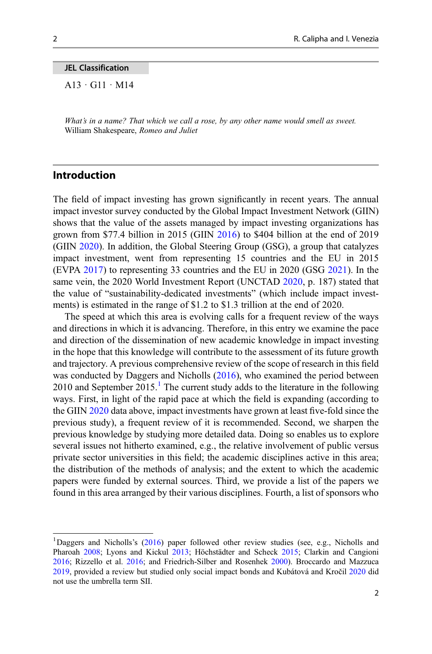#### JEL Classification

 $A13 \cdot G11 \cdot M14$ 

What's in a name? That which we call a rose, by any other name would smell as sweet. William Shakespeare, Romeo and Juliet

# Introduction

The field of impact investing has grown significantly in recent years. The annual impact investor survey conducted by the Global Impact Investment Network (GIIN) shows that the value of the assets managed by impact investing organizations has grown from \$77.4 billion in 2015 (GIIN [2016](#page-18-0)) to \$404 billion at the end of 2019 (GIIN [2020\)](#page-18-0). In addition, the Global Steering Group (GSG), a group that catalyzes impact investment, went from representing 15 countries and the EU in 2015 (EVPA [2017](#page-17-0)) to representing 33 countries and the EU in 2020 (GSG [2021\)](#page-18-0). In the same vein, the 2020 World Investment Report (UNCTAD [2020](#page-19-0), p. 187) stated that the value of "sustainability-dedicated investments" (which include impact investments) is estimated in the range of \$1.2 to \$1.3 trillion at the end of 2020.

The speed at which this area is evolving calls for a frequent review of the ways and directions in which it is advancing. Therefore, in this entry we examine the pace and direction of the dissemination of new academic knowledge in impact investing in the hope that this knowledge will contribute to the assessment of its future growth and trajectory. A previous comprehensive review of the scope of research in this field was conducted by Daggers and Nicholls [\(2016](#page-17-0)), who examined the period between 2010 and September  $2015<sup>1</sup>$ . The current study adds to the literature in the following ways. First, in light of the rapid pace at which the field is expanding (according to the GIIN [2020](#page-18-0) data above, impact investments have grown at least five-fold since the previous study), a frequent review of it is recommended. Second, we sharpen the previous knowledge by studying more detailed data. Doing so enables us to explore several issues not hitherto examined, e.g., the relative involvement of public versus private sector universities in this field; the academic disciplines active in this area; the distribution of the methods of analysis; and the extent to which the academic papers were funded by external sources. Third, we provide a list of the papers we found in this area arranged by their various disciplines. Fourth, a list of sponsors who

<sup>&</sup>lt;sup>1</sup>Daggers and Nicholls's ([2016\)](#page-17-0) paper followed other review studies (see, e.g., Nicholls and Pharoah [2008](#page-18-0); Lyons and Kickul [2013](#page-18-0); Höchstädter and Scheck [2015;](#page-18-0) Clarkin and Cangioni [2016;](#page-17-0) Rizzello et al. [2016;](#page-19-0) and Friedrich-Silber and Rosenhek [2000\)](#page-17-0). Broccardo and Mazzuca [2019,](#page-17-0) provided a review but studied only social impact bonds and Kubátová and Kročil [2020](#page-18-0) did not use the umbrella term SII.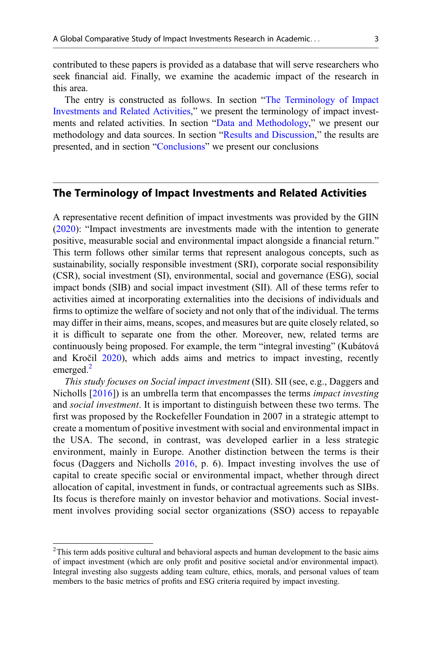contributed to these papers is provided as a database that will serve researchers who seek financial aid. Finally, we examine the academic impact of the research in this area.

The entry is constructed as follows. In section "The Terminology of Impact Investments and Related Activities," we present the terminology of impact investments and related activities. In section "[Data and Methodology,](#page-3-0)" we present our methodology and data sources. In section "[Results and Discussion](#page-3-0)," the results are presented, and in section "[Conclusions](#page-6-0)" we present our conclusions

# The Terminology of Impact Investments and Related Activities

A representative recent definition of impact investments was provided by the GIIN [\(2020](#page-18-0)): "Impact investments are investments made with the intention to generate positive, measurable social and environmental impact alongside a financial return." This term follows other similar terms that represent analogous concepts, such as sustainability, socially responsible investment (SRI), corporate social responsibility (CSR), social investment (SI), environmental, social and governance (ESG), social impact bonds (SIB) and social impact investment (SII). All of these terms refer to activities aimed at incorporating externalities into the decisions of individuals and firms to optimize the welfare of society and not only that of the individual. The terms may differ in their aims, means, scopes, and measures but are quite closely related, so it is difficult to separate one from the other. Moreover, new, related terms are continuously being proposed. For example, the term "integral investing" (Kubátová and Kročil [2020\)](#page-18-0), which adds aims and metrics to impact investing, recently emerged.<sup>2</sup>

This study focuses on Social impact investment (SII). SII (see, e.g., Daggers and Nicholls [\[2016\]](#page-17-0)) is an umbrella term that encompasses the terms *impact investing* and social investment. It is important to distinguish between these two terms. The first was proposed by the Rockefeller Foundation in 2007 in a strategic attempt to create a momentum of positive investment with social and environmental impact in the USA. The second, in contrast, was developed earlier in a less strategic environment, mainly in Europe. Another distinction between the terms is their focus (Daggers and Nicholls [2016](#page-17-0), p. 6). Impact investing involves the use of capital to create specific social or environmental impact, whether through direct allocation of capital, investment in funds, or contractual agreements such as SIBs. Its focus is therefore mainly on investor behavior and motivations. Social investment involves providing social sector organizations (SSO) access to repayable

 $2$ This term adds positive cultural and behavioral aspects and human development to the basic aims of impact investment (which are only profit and positive societal and/or environmental impact). Integral investing also suggests adding team culture, ethics, morals, and personal values of team members to the basic metrics of profits and ESG criteria required by impact investing.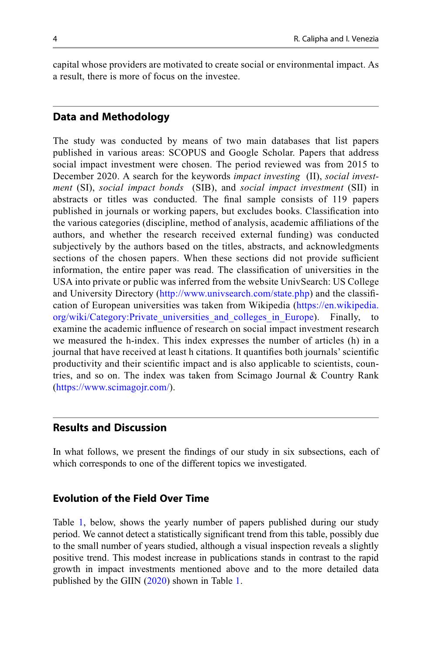<span id="page-3-0"></span>capital whose providers are motivated to create social or environmental impact. As a result, there is more of focus on the investee.

## Data and Methodology

The study was conducted by means of two main databases that list papers published in various areas: SCOPUS and Google Scholar. Papers that address social impact investment were chosen. The period reviewed was from 2015 to December 2020. A search for the keywords *impact investing* (II), *social invest*ment (SI), social impact bonds (SIB), and social impact investment (SII) in abstracts or titles was conducted. The final sample consists of 119 papers published in journals or working papers, but excludes books. Classification into the various categories (discipline, method of analysis, academic affiliations of the authors, and whether the research received external funding) was conducted subjectively by the authors based on the titles, abstracts, and acknowledgments sections of the chosen papers. When these sections did not provide sufficient information, the entire paper was read. The classification of universities in the USA into private or public was inferred from the website UnivSearch: US College and University Directory [\(http://www.univsearch.com/state.php](http://www.univsearch.com/state.php)) and the classification of European universities was taken from Wikipedia ([https://en.wikipedia.](https://en.wikipedia.org/wiki/Category:Private_universities_and_colleges_in_Europe) [org/wiki/Category:Private\\_universities\\_and\\_colleges\\_in\\_Europe](https://en.wikipedia.org/wiki/Category:Private_universities_and_colleges_in_Europe)). Finally, to examine the academic influence of research on social impact investment research we measured the h-index. This index expresses the number of articles (h) in a journal that have received at least h citations. It quantifies both journals' scientific productivity and their scientific impact and is also applicable to scientists, countries, and so on. The index was taken from Scimago Journal & Country Rank [\(https://www.scimagojr.com/](https://www.scimagojr.com/)).

## Results and Discussion

In what follows, we present the findings of our study in six subsections, each of which corresponds to one of the different topics we investigated.

## Evolution of the Field Over Time

Table [1,](#page-5-0) below, shows the yearly number of papers published during our study period. We cannot detect a statistically significant trend from this table, possibly due to the small number of years studied, although a visual inspection reveals a slightly positive trend. This modest increase in publications stands in contrast to the rapid growth in impact investments mentioned above and to the more detailed data published by the GIIN ([2020\)](#page-18-0) shown in Table [1.](#page-5-0)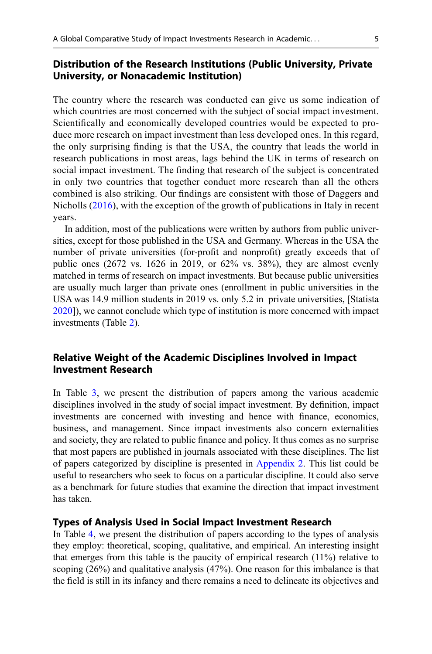# Distribution of the Research Institutions (Public University, Private University, or Nonacademic Institution)

The country where the research was conducted can give us some indication of which countries are most concerned with the subject of social impact investment. Scientifically and economically developed countries would be expected to produce more research on impact investment than less developed ones. In this regard, the only surprising finding is that the USA, the country that leads the world in research publications in most areas, lags behind the UK in terms of research on social impact investment. The finding that research of the subject is concentrated in only two countries that together conduct more research than all the others combined is also striking. Our findings are consistent with those of Daggers and Nicholls ([2016\)](#page-17-0), with the exception of the growth of publications in Italy in recent years.

In addition, most of the publications were written by authors from public universities, except for those published in the USA and Germany. Whereas in the USA the number of private universities (for-profit and nonprofit) greatly exceeds that of public ones (2672 vs. 1626 in 2019, or 62% vs. 38%), they are almost evenly matched in terms of research on impact investments. But because public universities are usually much larger than private ones (enrollment in public universities in the USA was 14.9 million students in 2019 vs. only 5.2 in private universities, [Statista [2020\]](#page-19-0)), we cannot conclude which type of institution is more concerned with impact investments (Table [2\)](#page-6-0).

# Relative Weight of the Academic Disciplines Involved in Impact Investment Research

In Table [3](#page-6-0), we present the distribution of papers among the various academic disciplines involved in the study of social impact investment. By definition, impact investments are concerned with investing and hence with finance, economics, business, and management. Since impact investments also concern externalities and society, they are related to public finance and policy. It thus comes as no surprise that most papers are published in journals associated with these disciplines. The list of papers categorized by discipline is presented in [Appendix 2.](#page-11-0) This list could be useful to researchers who seek to focus on a particular discipline. It could also serve as a benchmark for future studies that examine the direction that impact investment has taken.

#### Types of Analysis Used in Social Impact Investment Research

In Table [4](#page-7-0), we present the distribution of papers according to the types of analysis they employ: theoretical, scoping, qualitative, and empirical. An interesting insight that emerges from this table is the paucity of empirical research (11%) relative to scoping (26%) and qualitative analysis (47%). One reason for this imbalance is that the field is still in its infancy and there remains a need to delineate its objectives and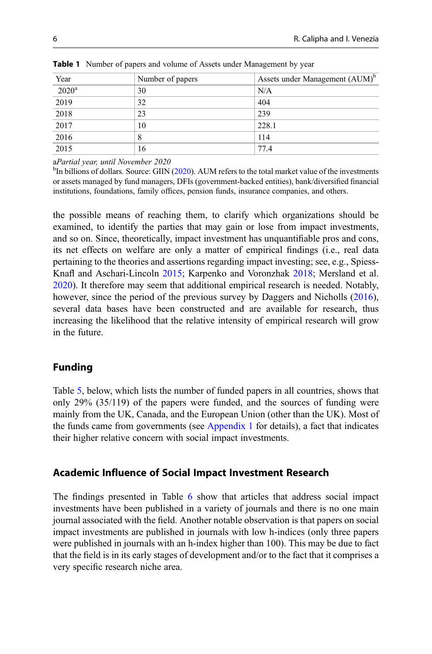| Year                | Number of papers | Assets under Management (AUM) <sup>b</sup> |
|---------------------|------------------|--------------------------------------------|
| $\overline{2020^a}$ | 30               | N/A                                        |
| 2019                | 32               | 404                                        |
| 2018                | 23               | 239                                        |
| 2017                | 10               | 228.1                                      |
| 2016                | 8                | 114                                        |
| 2015                | 16               | 77.4                                       |

<span id="page-5-0"></span>Table 1 Number of papers and volume of Assets under Management by year

aPartial year, until November 2020

<sup>b</sup>In billions of dollars. Source: GIIN [\(2020](#page-18-0)). AUM refers to the total market value of the investments or assets managed by fund managers, DFIs (government-backed entities), bank/diversified financial institutions, foundations, family offices, pension funds, insurance companies, and others.

the possible means of reaching them, to clarify which organizations should be examined, to identify the parties that may gain or lose from impact investments, and so on. Since, theoretically, impact investment has unquantifiable pros and cons, its net effects on welfare are only a matter of empirical findings (i.e., real data pertaining to the theories and assertions regarding impact investing; see, e.g., Spiess-Knafl and Aschari-Lincoln [2015](#page-19-0); Karpenko and Voronzhak [2018](#page-18-0); Mersland et al. [2020\)](#page-18-0). It therefore may seem that additional empirical research is needed. Notably, however, since the period of the previous survey by Daggers and Nicholls ([2016\)](#page-17-0), several data bases have been constructed and are available for research, thus increasing the likelihood that the relative intensity of empirical research will grow in the future.

## Funding

Table [5](#page-7-0), below, which lists the number of funded papers in all countries, shows that only 29% (35/119) of the papers were funded, and the sources of funding were mainly from the UK, Canada, and the European Union (other than the UK). Most of the funds came from governments (see [Appendix 1](#page-9-0) for details), a fact that indicates their higher relative concern with social impact investments.

#### Academic Influence of Social Impact Investment Research

The findings presented in Table [6](#page-8-0) show that articles that address social impact investments have been published in a variety of journals and there is no one main journal associated with the field. Another notable observation is that papers on social impact investments are published in journals with low h-indices (only three papers were published in journals with an h-index higher than 100). This may be due to fact that the field is in its early stages of development and/or to the fact that it comprises a very specific research niche area.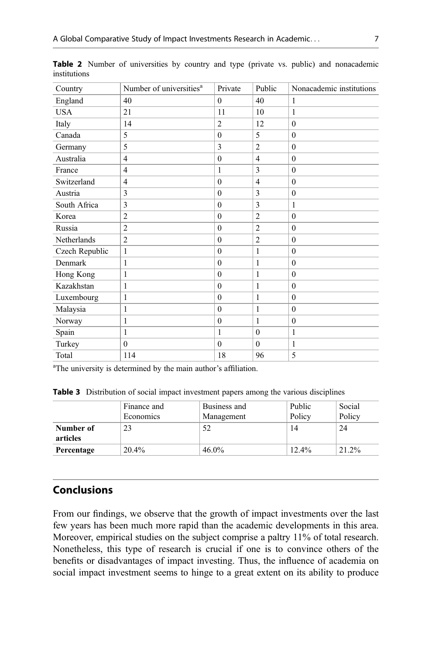| Country        | Number of universities <sup>a</sup> | Private        | Public         | Nonacademic institutions |
|----------------|-------------------------------------|----------------|----------------|--------------------------|
| England        | 40                                  | $\theta$       | 40             | 1                        |
| <b>USA</b>     | 21                                  | 11             | 10             | 1                        |
| Italy          | 14                                  | $\overline{c}$ | 12             | $\mathbf{0}$             |
| Canada         | 5                                   | $\mathbf{0}$   | 5              | $\theta$                 |
| Germany        | 5                                   | 3              | $\overline{2}$ | $\theta$                 |
| Australia      | $\overline{4}$                      | $\mathbf{0}$   | $\overline{4}$ | $\theta$                 |
| France         | $\overline{4}$                      | 1              | 3              | $\Omega$                 |
| Switzerland    | $\overline{4}$                      | $\mathbf{0}$   | $\overline{4}$ | $\theta$                 |
| Austria        | 3                                   | $\mathbf{0}$   | 3              | $\mathbf{0}$             |
| South Africa   | 3                                   | $\mathbf{0}$   | 3              | 1                        |
| Korea          | $\overline{c}$                      | $\theta$       | $\overline{2}$ | $\theta$                 |
| Russia         | $\overline{2}$                      | $\mathbf{0}$   | $\overline{2}$ | $\theta$                 |
| Netherlands    | $\overline{2}$                      | $\mathbf{0}$   | $\overline{2}$ | $\mathbf{0}$             |
| Czech Republic | $\mathbf{1}$                        | $\mathbf{0}$   | 1              | $\mathbf{0}$             |
| Denmark        | 1                                   | $\mathbf{0}$   | 1              | $\theta$                 |
| Hong Kong      | $\mathbf{1}$                        | $\theta$       | 1              | $\theta$                 |
| Kazakhstan     | 1                                   | $\mathbf{0}$   | 1              | $\Omega$                 |
| Luxembourg     | 1                                   | $\theta$       | 1              | $\theta$                 |
| Malaysia       | 1                                   | $\mathbf{0}$   | 1              | $\theta$                 |
| Norway         | $\mathbf{1}$                        | $\mathbf{0}$   | 1              | $\theta$                 |
| Spain          | $\mathbf{1}$                        | $\mathbf{1}$   | $\theta$       | 1                        |
| Turkey         | $\mathbf{0}$                        | $\mathbf{0}$   | $\theta$       | $\mathbf{1}$             |
| Total          | 114                                 | 18             | 96             | 5                        |

<span id="page-6-0"></span>Table 2 Number of universities by country and type (private vs. public) and nonacademic institutions

<sup>a</sup>The university is determined by the main author's affiliation.

Table 3 Distribution of social impact investment papers among the various disciplines

|                       | Finance and<br>Economics | Business and<br>Management | Public<br>Policy | Social<br>Policy |
|-----------------------|--------------------------|----------------------------|------------------|------------------|
| Number of<br>articles | 23                       | 52                         | 14               | 24               |
| Percentage            | 20.4%                    | $46.0\%$                   | 12.4%            | 21.2%            |

# Conclusions

From our findings, we observe that the growth of impact investments over the last few years has been much more rapid than the academic developments in this area. Moreover, empirical studies on the subject comprise a paltry 11% of total research. Nonetheless, this type of research is crucial if one is to convince others of the benefits or disadvantages of impact investing. Thus, the influence of academia on social impact investment seems to hinge to a great extent on its ability to produce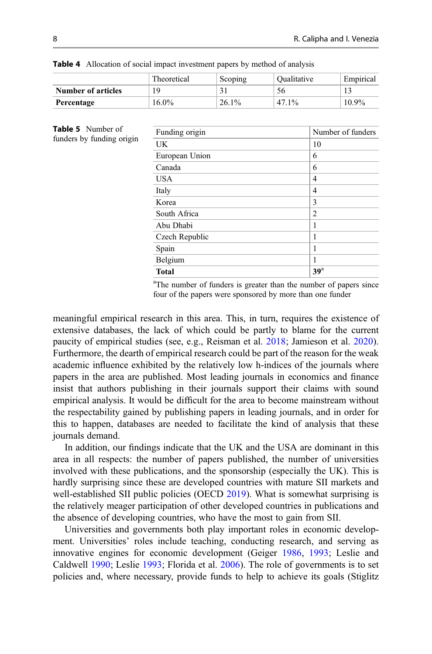|                           | Theoretical | Scoping  | Oualitative | Empirical |
|---------------------------|-------------|----------|-------------|-----------|
| <b>Number of articles</b> | 19          |          | 56          |           |
| Percentage                | $16.0\%$    | $26.1\%$ | 47.1%       | 10.9%     |

<span id="page-7-0"></span>Table 4 Allocation of social impact investment papers by method of analysis

| Funding origin | Number of funders |
|----------------|-------------------|
| UK             | 10                |
| European Union | 6                 |
| Canada         | 6                 |
| <b>USA</b>     | 4                 |
| Italy          | 4                 |
| Korea          | 3                 |
| South Africa   | 2                 |
| Abu Dhabi      | 1                 |
| Czech Republic | 1                 |
| Spain          | 1                 |
| Belgium        | 1                 |
| Total          | 39 <sup>a</sup>   |

<sup>a</sup>The number of funders is greater than the number of papers since four of the papers were sponsored by more than one funder

meaningful empirical research in this area. This, in turn, requires the existence of extensive databases, the lack of which could be partly to blame for the current paucity of empirical studies (see, e.g., Reisman et al. [2018;](#page-19-0) Jamieson et al. [2020\)](#page-18-0). Furthermore, the dearth of empirical research could be part of the reason for the weak academic influence exhibited by the relatively low h-indices of the journals where papers in the area are published. Most leading journals in economics and finance insist that authors publishing in their journals support their claims with sound empirical analysis. It would be difficult for the area to become mainstream without the respectability gained by publishing papers in leading journals, and in order for this to happen, databases are needed to facilitate the kind of analysis that these journals demand.

In addition, our findings indicate that the UK and the USA are dominant in this area in all respects: the number of papers published, the number of universities involved with these publications, and the sponsorship (especially the UK). This is hardly surprising since these are developed countries with mature SII markets and well-established SII public policies (OECD [2019\)](#page-19-0). What is somewhat surprising is the relatively meager participation of other developed countries in publications and the absence of developing countries, who have the most to gain from SII.

Universities and governments both play important roles in economic development. Universities' roles include teaching, conducting research, and serving as innovative engines for economic development (Geiger [1986,](#page-17-0) [1993](#page-17-0); Leslie and Caldwell [1990](#page-18-0); Leslie [1993;](#page-18-0) Florida et al. [2006](#page-17-0)). The role of governments is to set policies and, where necessary, provide funds to help to achieve its goals (Stiglitz

Table 5 Number of funders by funding origin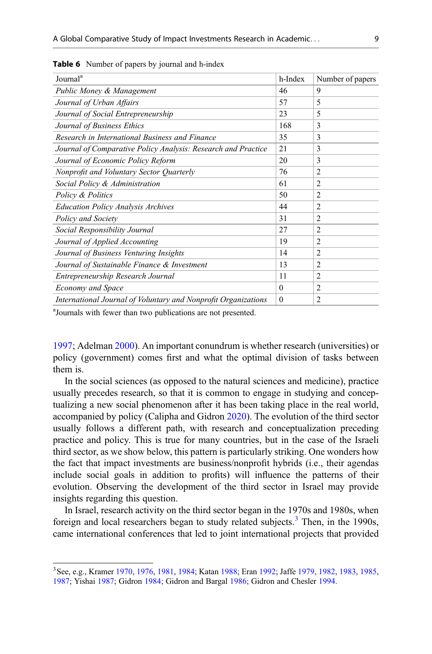| Journal <sup>a</sup>                                           | h-Index      | Number of papers |
|----------------------------------------------------------------|--------------|------------------|
| Public Money & Management                                      | 46           | 9                |
| Journal of Urban Affairs                                       | 57           | 5                |
| Journal of Social Entrepreneurship                             | 23           | 5                |
| Journal of Business Ethics                                     | 168          | 3                |
| Research in International Business and Finance                 | 35           | 3                |
| Journal of Comparative Policy Analysis: Research and Practice  | 21           | 3                |
| Journal of Economic Policy Reform                              | 20           | 3                |
| Nonprofit and Voluntary Sector Quarterly                       | 76           | 2                |
| Social Policy & Administration                                 | 61           | 2                |
| Policy & Politics                                              | 50           | 2                |
| <b>Education Policy Analysis Archives</b>                      | 44           | 2                |
| Policy and Society                                             | 31           | $\overline{2}$   |
| Social Responsibility Journal                                  | 27           | 2                |
| Journal of Applied Accounting                                  | 19           | 2                |
| Journal of Business Venturing Insights                         | 14           | 2                |
| Journal of Sustainable Finance & Investment                    | 13           | $\overline{2}$   |
| Entrepreneurship Research Journal                              | 11           | 2                |
| Economy and Space                                              | $\Omega$     | 2                |
| International Journal of Voluntary and Nonprofit Organizations | $\mathbf{0}$ | $\overline{2}$   |

<span id="page-8-0"></span>Table 6 Number of papers by journal and h-index

a Journals with fewer than two publications are not presented.

[1997;](#page-19-0) Adelman [2000\)](#page-17-0). An important conundrum is whether research (universities) or policy (government) comes first and what the optimal division of tasks between them is.

In the social sciences (as opposed to the natural sciences and medicine), practice usually precedes research, so that it is common to engage in studying and conceptualizing a new social phenomenon after it has been taking place in the real world, accompanied by policy (Calipha and Gidron [2020\)](#page-17-0). The evolution of the third sector usually follows a different path, with research and conceptualization preceding practice and policy. This is true for many countries, but in the case of the Israeli third sector, as we show below, this pattern is particularly striking. One wonders how the fact that impact investments are business/nonprofit hybrids (i.e., their agendas include social goals in addition to profits) will influence the patterns of their evolution. Observing the development of the third sector in Israel may provide insights regarding this question.

In Israel, research activity on the third sector began in the 1970s and 1980s, when foreign and local researchers began to study related subjects.<sup>3</sup> Then, in the 1990s, came international conferences that led to joint international projects that provided

<sup>3</sup> See, e.g., Kramer [1970,](#page-18-0) [1976,](#page-18-0) [1981](#page-18-0), [1984](#page-18-0); Katan [1988;](#page-18-0) Eran [1992;](#page-17-0) Jaffe [1979](#page-18-0), [1982](#page-18-0), [1983](#page-18-0), [1985](#page-18-0), [1987;](#page-18-0) Yishai [1987](#page-19-0); Gidron [1984](#page-17-0); Gidron and Bargal [1986;](#page-17-0) Gidron and Chesler [1994](#page-17-0).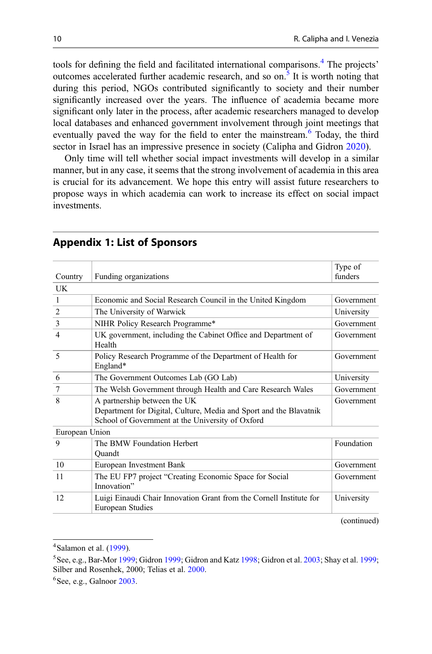<span id="page-9-0"></span>tools for defining the field and facilitated international comparisons.<sup>4</sup> The projects' outcomes accelerated further academic research, and so on.<sup>5</sup> It is worth noting that during this period, NGOs contributed significantly to society and their number significantly increased over the years. The influence of academia became more significant only later in the process, after academic researchers managed to develop local databases and enhanced government involvement through joint meetings that eventually paved the way for the field to enter the mainstream.<sup>6</sup> Today, the third sector in Israel has an impressive presence in society (Calipha and Gidron [2020](#page-17-0)).

Only time will tell whether social impact investments will develop in a similar manner, but in any case, it seems that the strong involvement of academia in this area is crucial for its advancement. We hope this entry will assist future researchers to propose ways in which academia can work to increase its effect on social impact investments.

|                |                                                                                                                                                        | Type of                          |  |
|----------------|--------------------------------------------------------------------------------------------------------------------------------------------------------|----------------------------------|--|
| Country        | Funding organizations                                                                                                                                  | funders                          |  |
| UK             |                                                                                                                                                        |                                  |  |
| $\mathbf{1}$   | Economic and Social Research Council in the United Kingdom                                                                                             | Government                       |  |
| $\overline{2}$ | The University of Warwick                                                                                                                              | University                       |  |
| 3              | NIHR Policy Research Programme*                                                                                                                        | Government                       |  |
| $\overline{4}$ | UK government, including the Cabinet Office and Department of<br>Health                                                                                | Government                       |  |
| 5              | Policy Research Programme of the Department of Health for<br>England*                                                                                  | Government                       |  |
| 6              | The Government Outcomes Lab (GO Lab)                                                                                                                   | University                       |  |
| 7              | The Welsh Government through Health and Care Research Wales                                                                                            | Government                       |  |
| 8              | A partnership between the UK<br>Department for Digital, Culture, Media and Sport and the Blavatnik<br>School of Government at the University of Oxford | Government                       |  |
| European Union |                                                                                                                                                        |                                  |  |
| 9              | The BMW Foundation Herbert<br>Quandt                                                                                                                   | Foundation                       |  |
| 10             | European Investment Bank                                                                                                                               | Government                       |  |
| 11             | The EU FP7 project "Creating Economic Space for Social<br>Innovation"                                                                                  | Government                       |  |
| 12             | Luigi Einaudi Chair Innovation Grant from the Cornell Institute for<br>European Studies                                                                | University                       |  |
|                |                                                                                                                                                        | $\sqrt{2}$ $\sqrt{2}$ $\sqrt{2}$ |  |

# Appendix 1: List of Sponsors

<sup>&</sup>lt;sup>4</sup> Salamon et al. [\(1999](#page-19-0)).

<sup>&</sup>lt;sup>5</sup> See, e.g., Bar-Mor [1999;](#page-17-0) Gidron [1999](#page-19-0); Gidron and Katz [1998](#page-18-0); Gidron et al. [2003](#page-18-0); Shay et al. 1999; Silber and Rosenhek, 2000; Telias et al. [2000](#page-19-0).

 $6$ See, e.g., Galnoor  $2003$ .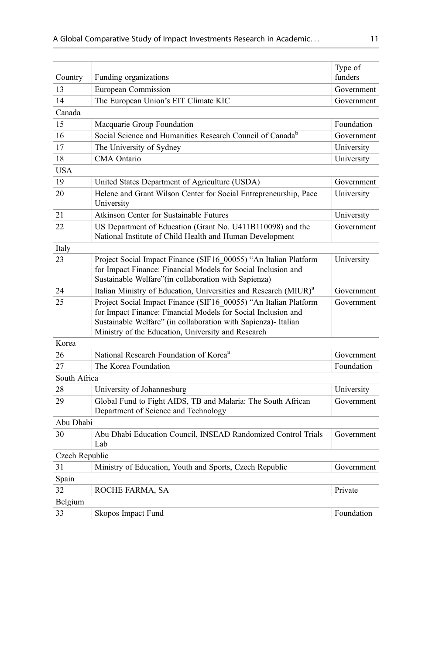|                |                                                                                                                                                                                                                                                           | Type of    |  |  |
|----------------|-----------------------------------------------------------------------------------------------------------------------------------------------------------------------------------------------------------------------------------------------------------|------------|--|--|
| Country        | Funding organizations                                                                                                                                                                                                                                     | funders    |  |  |
| 13             | European Commission                                                                                                                                                                                                                                       | Government |  |  |
| 14             | The European Union's EIT Climate KIC                                                                                                                                                                                                                      | Government |  |  |
| Canada         |                                                                                                                                                                                                                                                           |            |  |  |
| 15             | Macquarie Group Foundation                                                                                                                                                                                                                                | Foundation |  |  |
| 16             | Social Science and Humanities Research Council of Canada <sup>b</sup>                                                                                                                                                                                     | Government |  |  |
| 17             | The University of Sydney                                                                                                                                                                                                                                  | University |  |  |
| 18             | <b>CMA</b> Ontario                                                                                                                                                                                                                                        | University |  |  |
| <b>USA</b>     |                                                                                                                                                                                                                                                           |            |  |  |
| 19             | United States Department of Agriculture (USDA)                                                                                                                                                                                                            | Government |  |  |
| 20             | Helene and Grant Wilson Center for Social Entrepreneurship, Pace<br>University                                                                                                                                                                            | University |  |  |
| 21             | Atkinson Center for Sustainable Futures                                                                                                                                                                                                                   | University |  |  |
| 22             | US Department of Education (Grant No. U411B110098) and the<br>National Institute of Child Health and Human Development                                                                                                                                    | Government |  |  |
| Italy          |                                                                                                                                                                                                                                                           |            |  |  |
| 23             | Project Social Impact Finance (SIF16 00055) "An Italian Platform<br>for Impact Finance: Financial Models for Social Inclusion and<br>Sustainable Welfare"(in collaboration with Sapienza)                                                                 | University |  |  |
| 24             | Italian Ministry of Education, Universities and Research (MIUR) <sup>a</sup>                                                                                                                                                                              | Government |  |  |
| 25             | Project Social Impact Finance (SIF16 00055) "An Italian Platform<br>for Impact Finance: Financial Models for Social Inclusion and<br>Sustainable Welfare" (in collaboration with Sapienza)- Italian<br>Ministry of the Education, University and Research | Government |  |  |
| Korea          |                                                                                                                                                                                                                                                           |            |  |  |
| 26             | National Research Foundation of Korea <sup>a</sup>                                                                                                                                                                                                        | Government |  |  |
| 27             | The Korea Foundation                                                                                                                                                                                                                                      | Foundation |  |  |
| South Africa   |                                                                                                                                                                                                                                                           |            |  |  |
| 28             | University of Johannesburg                                                                                                                                                                                                                                | University |  |  |
| 29             | Global Fund to Fight AIDS, TB and Malaria: The South African<br>Department of Science and Technology                                                                                                                                                      | Government |  |  |
| Abu Dhabi      |                                                                                                                                                                                                                                                           |            |  |  |
| 30             | Abu Dhabi Education Council, INSEAD Randomized Control Trials<br>Lab                                                                                                                                                                                      | Government |  |  |
| Czech Republic |                                                                                                                                                                                                                                                           |            |  |  |
| 31             | Ministry of Education, Youth and Sports, Czech Republic                                                                                                                                                                                                   | Government |  |  |
| Spain          |                                                                                                                                                                                                                                                           |            |  |  |
| 32             | ROCHE FARMA, SA                                                                                                                                                                                                                                           | Private    |  |  |
| Belgium        |                                                                                                                                                                                                                                                           |            |  |  |
| 33             | Skopos Impact Fund                                                                                                                                                                                                                                        | Foundation |  |  |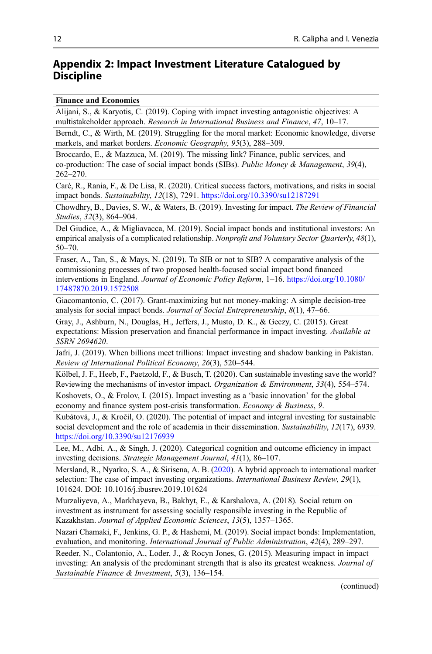# <span id="page-11-0"></span>Appendix 2: Impact Investment Literature Catalogued by **Discipline**

#### Finance and Economics

Alijani, S., & Karyotis, C. (2019). Coping with impact investing antagonistic objectives: A multistakeholder approach. Research in International Business and Finance, 47, 10–17.

Berndt, C., & Wirth, M. (2019). Struggling for the moral market: Economic knowledge, diverse markets, and market borders. Economic Geography, 95(3), 288–309.

Broccardo, E., & Mazzuca, M. (2019). The missing link? Finance, public services, and co-production: The case of social impact bonds (SIBs). Public Money & Management,  $39(4)$ , 262–270.

Carè, R., Rania, F., & De Lisa, R. (2020). Critical success factors, motivations, and risks in social impact bonds. Sustainability, 12(18), 7291. <https://doi.org/10.3390/su12187291>

Chowdhry, B., Davies, S. W., & Waters, B. (2019). Investing for impact. The Review of Financial Studies, 32(3), 864–904.

Del Giudice, A., & Migliavacca, M. (2019). Social impact bonds and institutional investors: An empirical analysis of a complicated relationship. Nonprofit and Voluntary Sector Quarterly, 48(1), 50–70.

Fraser, A., Tan, S., & Mays, N. (2019). To SIB or not to SIB? A comparative analysis of the commissioning processes of two proposed health-focused social impact bond financed interventions in England. Journal of Economic Policy Reform, 1–16. [https://doi.org/10.1080/](https://doi.org/10.1080/17487870.2019.1572508) [17487870.2019.1572508](https://doi.org/10.1080/17487870.2019.1572508)

Giacomantonio, C. (2017). Grant-maximizing but not money-making: A simple decision-tree analysis for social impact bonds. Journal of Social Entrepreneurship, 8(1), 47-66.

Gray, J., Ashburn, N., Douglas, H., Jeffers, J., Musto, D. K., & Geczy, C. (2015). Great expectations: Mission preservation and financial performance in impact investing. Available at SSRN 2694620.

Jafri, J. (2019). When billions meet trillions: Impact investing and shadow banking in Pakistan. Review of International Political Economy, 26(3), 520–544.

Kölbel, J. F., Heeb, F., Paetzold, F., & Busch, T. (2020). Can sustainable investing save the world? Reviewing the mechanisms of investor impact. Organization & Environment, 33(4), 554-574.

Koshovets, O., & Frolov, I. (2015). Impact investing as a 'basic innovation' for the global economy and finance system post-crisis transformation. Economy & Business, 9.

Kubátová, J., & Kročil, O. (2020). The potential of impact and integral investing for sustainable social development and the role of academia in their dissemination. Sustainability, 12(17), 6939. <https://doi.org/10.3390/su12176939>

Lee, M., Adbi, A., & Singh, J. (2020). Categorical cognition and outcome efficiency in impact investing decisions. Strategic Management Journal, 41(1), 86–107.

Mersland, R., Nyarko, S. A., & Sirisena, A. B. ([2020\)](#page-18-0). A hybrid approach to international market selection: The case of impact investing organizations. International Business Review, 29(1), 101624. DOI: 10.1016/j.ibusrev.2019.101624

Murzaliyeva, A., Markhayeva, B., Bakhyt, E., & Karshalova, A. (2018). Social return on investment as instrument for assessing socially responsible investing in the Republic of Kazakhstan. Journal of Applied Economic Sciences, 13(5), 1357–1365.

Nazari Chamaki, F., Jenkins, G. P., & Hashemi, M. (2019). Social impact bonds: Implementation, evaluation, and monitoring. International Journal of Public Administration, 42(4), 289–297.

Reeder, N., Colantonio, A., Loder, J., & Rocyn Jones, G. (2015). Measuring impact in impact investing: An analysis of the predominant strength that is also its greatest weakness. Journal of Sustainable Finance & Investment, 5(3), 136–154.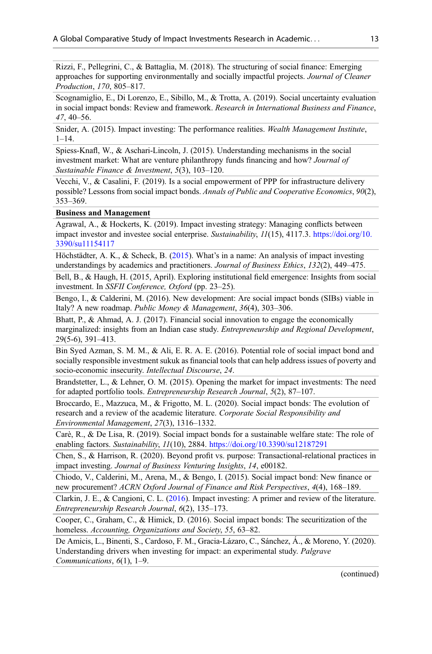Rizzi, F., Pellegrini, C., & Battaglia, M. (2018). The structuring of social finance: Emerging approaches for supporting environmentally and socially impactful projects. Journal of Cleaner Production, 170, 805–817.

Scognamiglio, E., Di Lorenzo, E., Sibillo, M., & Trotta, A. (2019). Social uncertainty evaluation in social impact bonds: Review and framework. Research in International Business and Finance, 47, 40–56.

Snider, A. (2015). Impact investing: The performance realities. Wealth Management Institute, 1–14.

Spiess-Knafl, W., & Aschari-Lincoln, J. (2015). Understanding mechanisms in the social investment market: What are venture philanthropy funds financing and how? Journal of Sustainable Finance & Investment, 5(3), 103–120.

Vecchi, V., & Casalini, F. (2019). Is a social empowerment of PPP for infrastructure delivery possible? Lessons from social impact bonds. Annals of Public and Cooperative Economics, 90(2), 353–369.

#### Business and Management

Agrawal, A., & Hockerts, K. (2019). Impact investing strategy: Managing conflicts between impact investor and investee social enterprise. Sustainability, 11(15), 4117.3. [https://doi.org/10.](https://doi.org/10.3390/su11154117) [3390/su11154117](https://doi.org/10.3390/su11154117)

Höchstädter, A. K., & Scheck, B. [\(2015](#page-18-0)). What's in a name: An analysis of impact investing understandings by academics and practitioners. Journal of Business Ethics, 132(2), 449–475.

Bell, B., & Haugh, H. (2015, April). Exploring institutional field emergence: Insights from social investment. In SSFII Conference, Oxford (pp. 23–25).

Bengo, I., & Calderini, M. (2016). New development: Are social impact bonds (SIBs) viable in Italy? A new roadmap. Public Money & Management, 36(4), 303–306.

Bhatt, P., & Ahmad, A. J. (2017). Financial social innovation to engage the economically marginalized: insights from an Indian case study. *Entrepreneurship and Regional Development*, 29(5-6), 391–413.

Bin Syed Azman, S. M. M., & Ali, E. R. A. E. (2016). Potential role of social impact bond and socially responsible investment sukuk as financial tools that can help address issues of poverty and socio-economic insecurity. Intellectual Discourse, 24.

Brandstetter, L., & Lehner, O. M. (2015). Opening the market for impact investments: The need for adapted portfolio tools. Entrepreneurship Research Journal, 5(2), 87–107.

Broccardo, E., Mazzuca, M., & Frigotto, M. L. (2020). Social impact bonds: The evolution of research and a review of the academic literature. Corporate Social Responsibility and Environmental Management, 27(3), 1316–1332.

Carè, R., & De Lisa, R. (2019). Social impact bonds for a sustainable welfare state: The role of enabling factors. Sustainability, 11(10), 2884. <https://doi.org/10.3390/su12187291>

Chen, S., & Harrison, R. (2020). Beyond profit vs. purpose: Transactional-relational practices in impact investing. Journal of Business Venturing Insights, 14, e00182.

Chiodo, V., Calderini, M., Arena, M., & Bengo, I. (2015). Social impact bond: New finance or new procurement? ACRN Oxford Journal of Finance and Risk Perspectives, 4(4), 168–189.

Clarkin, J. E., & Cangioni, C. L. ([2016\)](#page-17-0). Impact investing: A primer and review of the literature. Entrepreneurship Research Journal, 6(2), 135–173.

Cooper, C., Graham, C., & Himick, D. (2016). Social impact bonds: The securitization of the homeless. Accounting, Organizations and Society, 55, 63–82.

De Amicis, L., Binenti, S., Cardoso, F. M., Gracia-Lázaro, C., Sánchez, Á., & Moreno, Y. (2020). Understanding drivers when investing for impact: an experimental study. *Palgrave* Communications, 6(1), 1–9.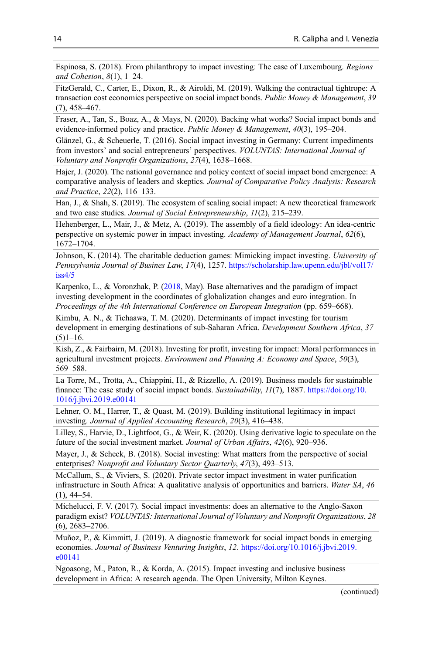Espinosa, S. (2018). From philanthropy to impact investing: The case of Luxembourg. Regions and Cohesion, 8(1), 1–24.

FitzGerald, C., Carter, E., Dixon, R., & Airoldi, M. (2019). Walking the contractual tightrope: A transaction cost economics perspective on social impact bonds. Public Money & Management, 39 (7), 458–467.

Fraser, A., Tan, S., Boaz, A., & Mays, N. (2020). Backing what works? Social impact bonds and evidence-informed policy and practice. Public Money & Management, 40(3), 195–204.

Glänzel, G., & Scheuerle, T. (2016). Social impact investing in Germany: Current impediments from investors' and social entrepreneurs' perspectives. VOLUNTAS: International Journal of Voluntary and Nonprofit Organizations, 27(4), 1638–1668.

Hajer, J. (2020). The national governance and policy context of social impact bond emergence: A comparative analysis of leaders and skeptics. Journal of Comparative Policy Analysis: Research and Practice, 22(2), 116–133.

Han, J., & Shah, S. (2019). The ecosystem of scaling social impact: A new theoretical framework and two case studies. Journal of Social Entrepreneurship, 11(2), 215–239.

Hehenberger, L., Mair, J., & Metz, A. (2019). The assembly of a field ideology: An idea-centric perspective on systemic power in impact investing. Academy of Management Journal, 62(6), 1672–1704.

Johnson, K. (2014). The charitable deduction games: Mimicking impact investing. University of Pennsylvania Journal of Busines Law, 17(4), 1257. [https://scholarship.law.upenn.edu/jbl/vol17/](https://scholarship.law.upenn.edu/jbl/vol17/iss4/5) [iss4/5](https://scholarship.law.upenn.edu/jbl/vol17/iss4/5)

Karpenko, L., & Voronzhak, P. ([2018,](#page-18-0) May). Base alternatives and the paradigm of impact investing development in the coordinates of globalization changes and euro integration. In Proceedings of the 4th International Conference on European Integration (pp. 659–668).

Kimbu, A. N., & Tichaawa, T. M. (2020). Determinants of impact investing for tourism development in emerging destinations of sub-Saharan Africa. Development Southern Africa, 37  $(5)1-16.$ 

Kish, Z., & Fairbairn, M. (2018). Investing for profit, investing for impact: Moral performances in agricultural investment projects. Environment and Planning  $A$ : Economy and Space, 50(3), 569–588.

La Torre, M., Trotta, A., Chiappini, H., & Rizzello, A. (2019). Business models for sustainable finance: The case study of social impact bonds. Sustainability, 11(7), 1887. [https://doi.org/10.](https://doi.org/10.1016/j.jbvi.2019.e00141) [1016/j.jbvi.2019.e00141](https://doi.org/10.1016/j.jbvi.2019.e00141)

Lehner, O. M., Harrer, T., & Quast, M. (2019). Building institutional legitimacy in impact investing. Journal of Applied Accounting Research, 20(3), 416–438.

Lilley, S., Harvie, D., Lightfoot, G., & Weir, K. (2020). Using derivative logic to speculate on the future of the social investment market. Journal of Urban Affairs, 42(6), 920–936.

Mayer, J., & Scheck, B. (2018). Social investing: What matters from the perspective of social enterprises? Nonprofit and Voluntary Sector Quarterly, 47(3), 493–513.

McCallum, S., & Viviers, S. (2020). Private sector impact investment in water purification infrastructure in South Africa: A qualitative analysis of opportunities and barriers. Water SA, 46 (1), 44–54.

Michelucci, F. V. (2017). Social impact investments: does an alternative to the Anglo-Saxon paradigm exist? VOLUNTAS: International Journal of Voluntary and Nonprofit Organizations, 28 (6), 2683–2706.

Muñoz, P., & Kimmitt, J. (2019). A diagnostic framework for social impact bonds in emerging economies. Journal of Business Venturing Insights, 12. [https://doi.org/10.1016/j.jbvi.2019.](https://doi.org/10.1016/j.jbvi.2019.e00141) [e00141](https://doi.org/10.1016/j.jbvi.2019.e00141)

Ngoasong, M., Paton, R., & Korda, A. (2015). Impact investing and inclusive business development in Africa: A research agenda. The Open University, Milton Keynes.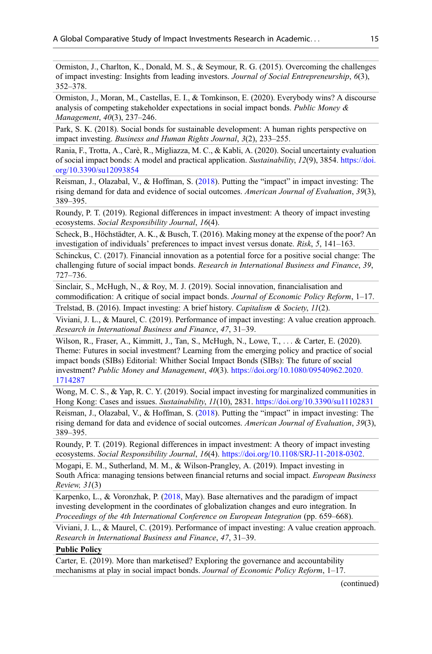Ormiston, J., Charlton, K., Donald, M. S., & Seymour, R. G. (2015). Overcoming the challenges of impact investing: Insights from leading investors. Journal of Social Entrepreneurship, 6(3), 352–378.

Ormiston, J., Moran, M., Castellas, E. I., & Tomkinson, E. (2020). Everybody wins? A discourse analysis of competing stakeholder expectations in social impact bonds. Public Money  $\&$ Management, 40(3), 237–246.

Park, S. K. (2018). Social bonds for sustainable development: A human rights perspective on impact investing. Business and Human Rights Journal, 3(2), 233–255.

Rania, F., Trotta, A., Carè, R., Migliazza, M. C., & Kabli, A. (2020). Social uncertainty evaluation of social impact bonds: A model and practical application. Sustainability, 12(9), 3854. [https://doi.](https://doi.org/10.3390/su12093854) [org/10.3390/su12093854](https://doi.org/10.3390/su12093854)

Reisman, J., Olazabal, V., & Hoffman, S. ([2018\)](#page-19-0). Putting the "impact" in impact investing: The rising demand for data and evidence of social outcomes. American Journal of Evaluation, 39(3), 389–395.

Roundy, P. T. (2019). Regional differences in impact investment: A theory of impact investing ecosystems. Social Responsibility Journal, 16(4).

Scheck, B., Höchstädter, A. K., & Busch, T. (2016). Making money at the expense of the poor? An investigation of individuals' preferences to impact invest versus donate. Risk, 5, 141–163.

Schinckus, C. (2017). Financial innovation as a potential force for a positive social change: The challenging future of social impact bonds. Research in International Business and Finance, 39, 727–736.

Sinclair, S., McHugh, N., & Roy, M. J. (2019). Social innovation, financialisation and commodification: A critique of social impact bonds. Journal of Economic Policy Reform, 1–17.

Trelstad, B. (2016). Impact investing: A brief history. Capitalism & Society, 11(2).

Viviani, J. L., & Maurel, C. (2019). Performance of impact investing: A value creation approach. Research in International Business and Finance, 47, 31–39.

Wilson, R., Fraser, A., Kimmitt, J., Tan, S., McHugh, N., Lowe, T., ... & Carter, E. (2020). Theme: Futures in social investment? Learning from the emerging policy and practice of social impact bonds (SIBs) Editorial: Whither Social Impact Bonds (SIBs): The future of social investment? Public Money and Management, 40(3). [https://doi.org/10.1080/09540962.2020.](https://doi.org/10.1080/09540962.2020.1714287) [1714287](https://doi.org/10.1080/09540962.2020.1714287)

Wong, M. C. S., & Yap, R. C. Y. (2019). Social impact investing for marginalized communities in Hong Kong: Cases and issues. Sustainability, 11(10), 2831. <https://doi.org/10.3390/su11102831>

Reisman, J., Olazabal, V., & Hoffman, S. ([2018\)](#page-19-0). Putting the "impact" in impact investing: The rising demand for data and evidence of social outcomes. American Journal of Evaluation, 39(3), 389–395.

Roundy, P. T. (2019). Regional differences in impact investment: A theory of impact investing ecosystems. Social Responsibility Journal, 16(4). [https://doi.org/10.1108/SRJ-11-2018-0302.](https://doi.org/10.1108/SRJ-11-2018-0302)

Mogapi, E. M., Sutherland, M. M., & Wilson-Prangley, A. (2019). Impact investing in South Africa: managing tensions between financial returns and social impact. *European Business* Review, 31(3)

Karpenko, L., & Voronzhak, P. ([2018,](#page-18-0) May). Base alternatives and the paradigm of impact investing development in the coordinates of globalization changes and euro integration. In Proceedings of the 4th International Conference on European Integration (pp. 659–668).

Viviani, J. L., & Maurel, C. (2019). Performance of impact investing: A value creation approach. Research in International Business and Finance, 47, 31–39.

## Public Policy

Carter, E. (2019). More than marketised? Exploring the governance and accountability mechanisms at play in social impact bonds. Journal of Economic Policy Reform, 1–17.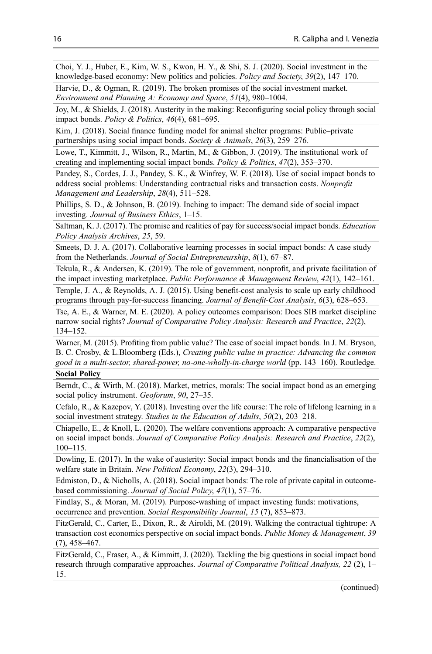Choi, Y. J., Huber, E., Kim, W. S., Kwon, H. Y., & Shi, S. J. (2020). Social investment in the knowledge-based economy: New politics and policies. Policy and Society, 39(2), 147–170.

Harvie, D., & Ogman, R. (2019). The broken promises of the social investment market. Environment and Planning A: Economy and Space, 51(4), 980–1004.

Joy, M., & Shields, J. (2018). Austerity in the making: Reconfiguring social policy through social impact bonds. Policy & Politics,  $46(4)$ ,  $681-695$ .

Kim, J. (2018). Social finance funding model for animal shelter programs: Public–private partnerships using social impact bonds. Society & Animals, 26(3), 259–276.

Lowe, T., Kimmitt, J., Wilson, R., Martin, M., & Gibbon, J. (2019). The institutional work of creating and implementing social impact bonds. Policy & Politics,  $47(2)$ ,  $353-370$ .

Pandey, S., Cordes, J. J., Pandey, S. K., & Winfrey, W. F. (2018). Use of social impact bonds to address social problems: Understanding contractual risks and transaction costs. Nonprofit Management and Leadership, 28(4), 511–528.

Phillips, S. D., & Johnson, B. (2019). Inching to impact: The demand side of social impact investing. Journal of Business Ethics, 1–15.

Saltman, K. J. (2017). The promise and realities of pay for success/social impact bonds. *Education* Policy Analysis Archives, 25, 59.

Smeets, D. J. A. (2017). Collaborative learning processes in social impact bonds: A case study from the Netherlands. Journal of Social Entrepreneurship, 8(1), 67–87.

Tekula, R., & Andersen, K. (2019). The role of government, nonprofit, and private facilitation of the impact investing marketplace. Public Performance & Management Review, 42(1), 142-161.

Temple, J. A., & Reynolds, A. J. (2015). Using benefit-cost analysis to scale up early childhood programs through pay-for-success financing. Journal of Benefit-Cost Analysis, 6(3), 628–653.

Tse, A. E., & Warner, M. E. (2020). A policy outcomes comparison: Does SIB market discipline narrow social rights? Journal of Comparative Policy Analysis: Research and Practice, 22(2), 134–152.

Warner, M. (2015). Profiting from public value? The case of social impact bonds. In J. M. Bryson, B. C. Crosby, & L.Bloomberg (Eds.), Creating public value in practice: Advancing the common good in a multi-sector, shared-power, no-one-wholly-in-charge world (pp. 143–160). Routledge.

#### Social Policy

Berndt, C., & Wirth, M. (2018). Market, metrics, morals: The social impact bond as an emerging social policy instrument. Geoforum, 90, 27-35.

Cefalo, R., & Kazepov, Y. (2018). Investing over the life course: The role of lifelong learning in a social investment strategy. Studies in the Education of Adults, 50(2), 203-218.

Chiapello, E., & Knoll, L. (2020). The welfare conventions approach: A comparative perspective on social impact bonds. Journal of Comparative Policy Analysis: Research and Practice, 22(2), 100–115.

Dowling, E. (2017). In the wake of austerity: Social impact bonds and the financialisation of the welfare state in Britain. New Political Economy, 22(3), 294-310.

Edmiston, D., & Nicholls, A. (2018). Social impact bonds: The role of private capital in outcomebased commissioning. Journal of Social Policy, 47(1), 57–76.

Findlay, S., & Moran, M. (2019). Purpose-washing of impact investing funds: motivations, occurrence and prevention. Social Responsibility Journal, 15 (7), 853–873.

FitzGerald, C., Carter, E., Dixon, R., & Airoldi, M. (2019). Walking the contractual tightrope: A transaction cost economics perspective on social impact bonds. Public Money & Management, 39 (7), 458–467.

FitzGerald, C., Fraser, A., & Kimmitt, J. (2020). Tackling the big questions in social impact bond research through comparative approaches. Journal of Comparative Political Analysis, 22 (2), 1– 15.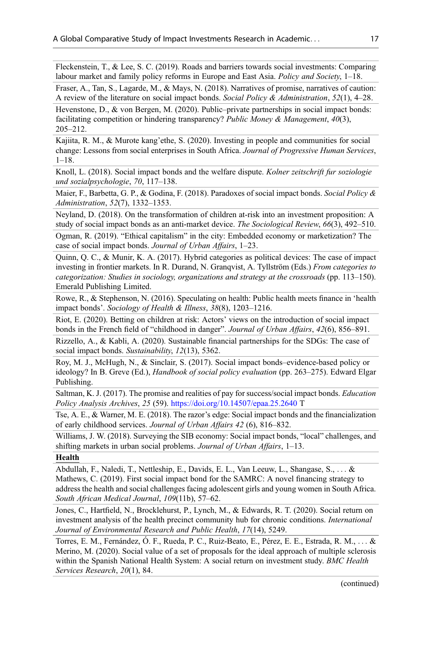Fleckenstein, T., & Lee, S. C. (2019). Roads and barriers towards social investments: Comparing labour market and family policy reforms in Europe and East Asia. Policy and Society, 1–18.

Fraser, A., Tan, S., Lagarde, M., & Mays, N. (2018). Narratives of promise, narratives of caution: A review of the literature on social impact bonds. Social Policy & Administration, 52(1), 4–28.

Hevenstone, D., & von Bergen, M. (2020). Public–private partnerships in social impact bonds: facilitating competition or hindering transparency? Public Money & Management,  $40(3)$ , 205–212.

Kajiita, R. M., & Murote kang'ethe, S. (2020). Investing in people and communities for social change: Lessons from social enterprises in South Africa. Journal of Progressive Human Services, 1–18.

Knoll, L. (2018). Social impact bonds and the welfare dispute. *Kolner zeitschrift fur soziologie* und sozialpsychologie, 70, 117–138.

Maier, F., Barbetta, G. P., & Godina, F. (2018). Paradoxes of social impact bonds. Social Policy & Administration, 52(7), 1332–1353.

Neyland, D. (2018). On the transformation of children at-risk into an investment proposition: A study of social impact bonds as an anti-market device. The Sociological Review, 66(3), 492-510.

Ogman, R. (2019). "Ethical capitalism" in the city: Embedded economy or marketization? The case of social impact bonds. Journal of Urban Affairs, 1–23.

Quinn, Q. C., & Munir, K. A. (2017). Hybrid categories as political devices: The case of impact investing in frontier markets. In R. Durand, N. Granqvist, A. Tyllström (Eds.) From categories to categorization: Studies in sociology, organizations and strategy at the crossroads (pp. 113–150). Emerald Publishing Limited.

Rowe, R., & Stephenson, N. (2016). Speculating on health: Public health meets finance in 'health impact bonds'. Sociology of Health & Illness, 38(8), 1203–1216.

Riot, E. (2020). Betting on children at risk: Actors' views on the introduction of social impact bonds in the French field of "childhood in danger". Journal of Urban Affairs, 42(6), 856–891.

Rizzello, A., & Kabli, A. (2020). Sustainable financial partnerships for the SDGs: The case of social impact bonds. Sustainability, 12(13), 5362.

Roy, M. J., McHugh, N., & Sinclair, S. (2017). Social impact bonds–evidence-based policy or ideology? In B. Greve (Ed.), *Handbook of social policy evaluation* (pp. 263–275). Edward Elgar Publishing.

Saltman, K. J. (2017). The promise and realities of pay for success/social impact bonds. *Education* Policy Analysis Archives, 25 (59). <https://doi.org/10.14507/epaa.25.2640> T

Tse, A. E., & Warner, M. E. (2018). The razor's edge: Social impact bonds and the financialization of early childhood services. Journal of Urban Affairs 42 (6), 816–832.

Williams, J. W. (2018). Surveying the SIB economy: Social impact bonds, "local" challenges, and shifting markets in urban social problems. Journal of Urban Affairs, 1–13.

#### Health

Abdullah, F., Naledi, T., Nettleship, E., Davids, E. L., Van Leeuw, L., Shangase, S., ... & Mathews, C. (2019). First social impact bond for the SAMRC: A novel financing strategy to address the health and social challenges facing adolescent girls and young women in South Africa. South African Medical Journal, 109(11b), 57–62.

Jones, C., Hartfield, N., Brocklehurst, P., Lynch, M., & Edwards, R. T. (2020). Social return on investment analysis of the health precinct community hub for chronic conditions. *International* Journal of Environmental Research and Public Health, 17(14), 5249.

Torres, E. M., Fernández, Ó. F., Rueda, P. C., Ruiz-Beato, E., Pérez, E. E., Estrada, R. M., ... & Merino, M. (2020). Social value of a set of proposals for the ideal approach of multiple sclerosis within the Spanish National Health System: A social return on investment study. BMC Health Services Research, 20(1), 84.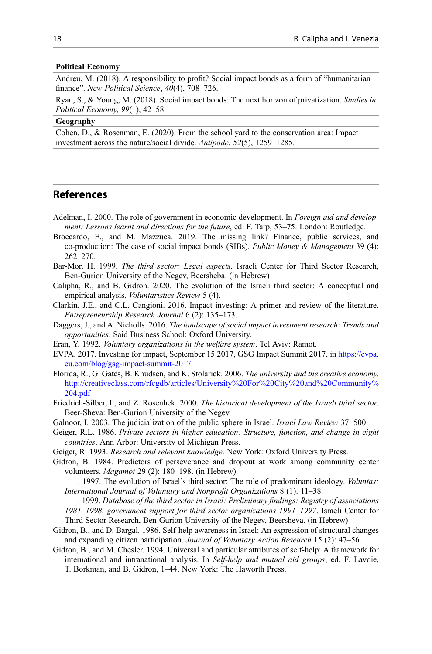#### <span id="page-17-0"></span>Political Economy

Andreu, M. (2018). A responsibility to profit? Social impact bonds as a form of "humanitarian finance". New Political Science, 40(4), 708-726.

Ryan, S., & Young, M. (2018). Social impact bonds: The next horizon of privatization. *Studies in* Political Economy, 99(1), 42–58.

#### Geography

Cohen, D., & Rosenman, E. (2020). From the school yard to the conservation area: Impact investment across the nature/social divide. Antipode, 52(5), 1259–1285.

## References

- Adelman, I. 2000. The role of government in economic development. In *Foreign aid and develop*ment: Lessons learnt and directions for the future, ed. F. Tarp, 53–75. London: Routledge.
- Broccardo, E., and M. Mazzuca. 2019. The missing link? Finance, public services, and co-production: The case of social impact bonds (SIBs). Public Money & Management 39 (4): 262–270.
- Bar-Mor, H. 1999. The third sector: Legal aspects. Israeli Center for Third Sector Research, Ben-Gurion University of the Negev, Beersheba. (in Hebrew)
- Calipha, R., and B. Gidron. 2020. The evolution of the Israeli third sector: A conceptual and empirical analysis. Voluntaristics Review 5 (4).
- Clarkin, J.E., and C.L. Cangioni. 2016. Impact investing: A primer and review of the literature. Entrepreneurship Research Journal 6 (2): 135–173.
- Daggers, J., and A. Nicholls. 2016. The landscape of social impact investment research: Trends and opportunities. Said Business School: Oxford University.
- Eran, Y. 1992. Voluntary organizations in the welfare system. Tel Aviv: Ramot.
- EVPA. 2017. Investing for impact, September 15 2017, GSG Impact Summit 2017, in [https://evpa.](https://evpa.eu.com/blog/gsg-impact-summit-2017) [eu.com/blog/gsg-impact-summit-2017](https://evpa.eu.com/blog/gsg-impact-summit-2017)
- Florida, R., G. Gates, B. Knudsen, and K. Stolarick. 2006. The university and the creative economy. [http://creativeclass.com/rfcgdb/articles/University%20For%20City%20and%20Community%](http://creativeclass.com/rfcgdb/articles/University%20For%20City%20and%20Community%204.pdf) [204.pdf](http://creativeclass.com/rfcgdb/articles/University%20For%20City%20and%20Community%204.pdf)
- Friedrich-Silber, I., and Z. Rosenhek. 2000. The historical development of the Israeli third sector. Beer-Sheva: Ben-Gurion University of the Negev.
- Galnoor, I. 2003. The judicialization of the public sphere in Israel. Israel Law Review 37: 500.
- Geiger, R.L. 1986. Private sectors in higher education: Structure, function, and change in eight countries. Ann Arbor: University of Michigan Press.
- Geiger, R. 1993. Research and relevant knowledge. New York: Oxford University Press.
- Gidron, B. 1984. Predictors of perseverance and dropout at work among community center volunteers. Magamot 29 (2): 180–198. (in Hebrew).
- -. 1997. The evolution of Israel's third sector: The role of predominant ideology. *Voluntas:* International Journal of Voluntary and Nonprofit Organizations 8 (1): 11–38.
	- ———. 1999. Database of the third sector in Israel: Preliminary findings: Registry of associations 1981–1998, government support for third sector organizations 1991–1997. Israeli Center for Third Sector Research, Ben-Gurion University of the Negev, Beersheva. (in Hebrew)
- Gidron, B., and D. Bargal. 1986. Self-help awareness in Israel: An expression of structural changes and expanding citizen participation. Journal of Voluntary Action Research 15 (2): 47–56.
- Gidron, B., and M. Chesler. 1994. Universal and particular attributes of self-help: A framework for international and intranational analysis. In Self-help and mutual aid groups, ed. F. Lavoie, T. Borkman, and B. Gidron, 1–44. New York: The Haworth Press.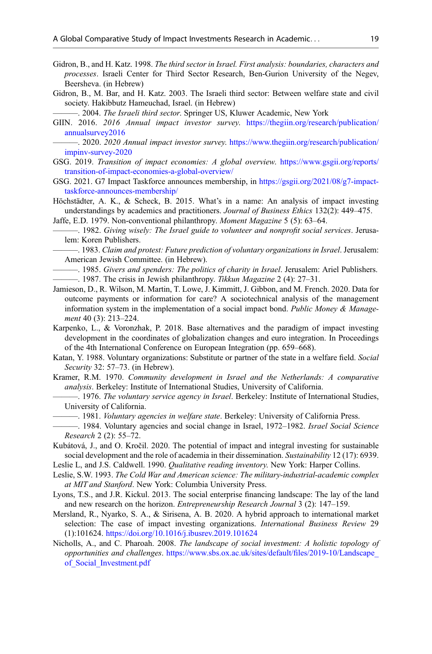- <span id="page-18-0"></span>Gidron, B., and H. Katz. 1998. The third sector in Israel. First analysis: boundaries, characters and processes. Israeli Center for Third Sector Research, Ben-Gurion University of the Negev, Beersheva. (in Hebrew)
- Gidron, B., M. Bar, and H. Katz. 2003. The Israeli third sector: Between welfare state and civil society. Hakibbutz Hameuchad, Israel. (in Hebrew)
	- -. 2004. The Israeli third sector. Springer US, Kluwer Academic, New York
- GIIN. 2016. 2016 Annual impact investor survey. [https://thegiin.org/research/publication/](https://thegiin.org/research/publication/annualsurvey2016) [annualsurvey2016](https://thegiin.org/research/publication/annualsurvey2016)
	- -. 2020. 2020 Annual impact investor survey. [https://www.thegiin.org/research/publication/](https://www.thegiin.org/research/publication/impinv-survey-2020) [impinv-survey-2020](https://www.thegiin.org/research/publication/impinv-survey-2020)
- GSG. 2019. Transition of impact economies: A global overview. [https://www.gsgii.org/reports/](https://www.gsgii.org/reports/transition-of-impact-economies-a-global-overview/) [transition-of-impact-economies-a-global-overview/](https://www.gsgii.org/reports/transition-of-impact-economies-a-global-overview/)
- GSG. 2021. G7 Impact Taskforce announces membership, in [https://gsgii.org/2021/08/g7-impact](https://gsgii.org/2021/08/g7-impact-taskforce-announces-membership/)[taskforce-announces-membership/](https://gsgii.org/2021/08/g7-impact-taskforce-announces-membership/)
- Höchstädter, A. K., & Scheck, B. 2015. What's in a name: An analysis of impact investing understandings by academics and practitioners. Journal of Business Ethics 132(2): 449–475.
- Jaffe, E.D. 1979. Non-conventional philanthropy. Moment Magazine 5 (5): 63–64. ———. 1982. Giving wisely: The Israel guide to volunteer and nonprofit social services. Jerusa
	- lem: Koren Publishers.
	- ———. 1983. Claim and protest: Future prediction of voluntary organizations in Israel. Jerusalem: American Jewish Committee. (in Hebrew).
- ———. 1985. Givers and spenders: The politics of charity in Israel. Jerusalem: Ariel Publishers. —. 1987. The crisis in Jewish philanthropy. Tikkun Magazine 2 (4): 27–31.
- Jamieson, D., R. Wilson, M. Martin, T. Lowe, J. Kimmitt, J. Gibbon, and M. French. 2020. Data for outcome payments or information for care? A sociotechnical analysis of the management information system in the implementation of a social impact bond. Public Money  $\&$  Management 40 (3): 213-224.
- Karpenko, L., & Voronzhak, P. 2018. Вase alternatives and the paradigm of impact investing development in the coordinates of globalization changes and euro integration. In Proceedings of the 4th International Conference on European Integration (pp. 659–668).
- Katan, Y. 1988. Voluntary organizations: Substitute or partner of the state in a welfare field. Social Security 32: 57–73. (in Hebrew).
- Kramer, R.M. 1970. Community development in Israel and the Netherlands: A comparative analysis. Berkeley: Institute of International Studies, University of California.
	- -. 1976. The voluntary service agency in Israel. Berkeley: Institute of International Studies, University of California.
	- -. 1981. Voluntary agencies in welfare state. Berkeley: University of California Press.
- ———. 1984. Voluntary agencies and social change in Israel, 1972–1982. Israel Social Science Research 2 (2): 55–72.
- Kubátová, J., and O. Kročil. 2020. The potential of impact and integral investing for sustainable social development and the role of academia in their dissemination. *Sustainability* 12 (17): 6939.
- Leslie L, and J.S. Caldwell. 1990. *Qualitative reading inventory*. New York: Harper Collins.
- Leslie, S.W. 1993. The Cold War and American science: The military-industrial-academic complex at MIT and Stanford. New York: Columbia University Press.
- Lyons, T.S., and J.R. Kickul. 2013. The social enterprise financing landscape: The lay of the land and new research on the horizon. Entrepreneurship Research Journal 3 (2): 147–159.
- Mersland, R., Nyarko, S. A., & Sirisena, A. B. 2020. A hybrid approach to international market selection: The case of impact investing organizations. International Business Review 29 (1):101624. <https://doi.org/10.1016/j.ibusrev.2019.101624>
- Nicholls, A., and C. Pharoah. 2008. The landscape of social investment: A holistic topology of opportunities and challenges. [https://www.sbs.ox.ac.uk/sites/default/](https://www.sbs.ox.ac.uk/sites/default/files/2019-10/Landscape_of_Social_Investment.pdf)files/2019-10/Landscape\_ [of\\_Social\\_Investment.pdf](https://www.sbs.ox.ac.uk/sites/default/files/2019-10/Landscape_of_Social_Investment.pdf)